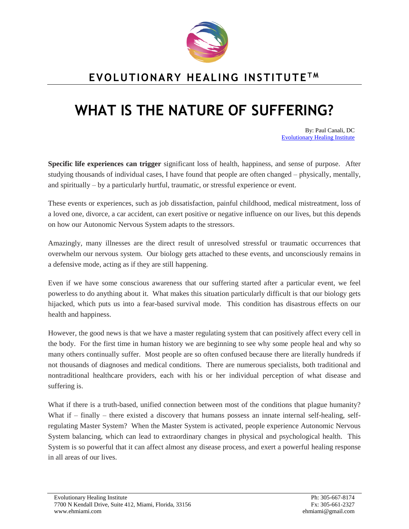

## **EVOLUTIONARY HEALING INSTITUTE T M**

## **WHAT IS THE NATURE OF SUFFERING?**

By: Paul Canali, DC [Evolutionary Healing Institute](http://www.evolutionaryhealinginstitute.com/)

**Specific life experiences can trigger** significant loss of health, happiness, and sense of purpose. After studying thousands of individual cases, I have found that people are often changed – physically, mentally, and spiritually – by a particularly hurtful, traumatic, or stressful experience or event.

These events or experiences, such as job dissatisfaction, painful childhood, medical mistreatment, loss of a loved one, divorce, a car accident, can exert positive or negative influence on our lives, but this depends on how our Autonomic Nervous System adapts to the stressors.

Amazingly, many illnesses are the direct result of unresolved stressful or traumatic occurrences that overwhelm our nervous system. Our biology gets attached to these events, and unconsciously remains in a defensive mode, acting as if they are still happening.

Even if we have some conscious awareness that our suffering started after a particular event, we feel powerless to do anything about it. What makes this situation particularly difficult is that our biology gets hijacked, which puts us into a fear-based survival mode. This condition has disastrous effects on our health and happiness.

However, the good news is that we have a master regulating system that can positively affect every cell in the body. For the first time in human history we are beginning to see why some people heal and why so many others continually suffer. Most people are so often confused because there are literally hundreds if not thousands of diagnoses and medical conditions. There are numerous specialists, both traditional and nontraditional healthcare providers, each with his or her individual perception of what disease and suffering is.

What if there is a truth-based, unified connection between most of the conditions that plague humanity? What if – finally – there existed a discovery that humans possess an innate internal self-healing, selfregulating Master System? When the Master System is activated, people experience Autonomic Nervous System balancing, which can lead to extraordinary changes in physical and psychological health. This System is so powerful that it can affect almost any disease process, and exert a powerful healing response in all areas of our lives.